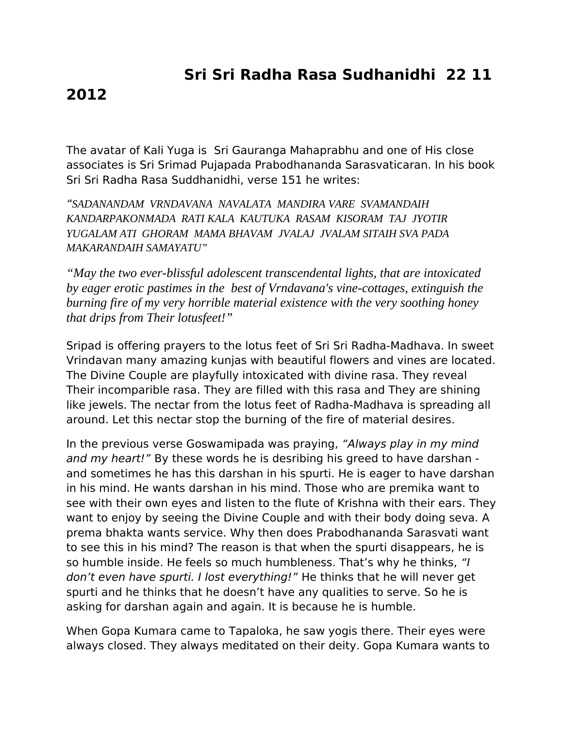## **Sri Sri Radha Rasa Sudhanidhi 22 11**

## **2012**

The avatar of Kali Yuga is Sri Gauranga Mahaprabhu and one of His close associates is Sri Srimad Pujapada Prabodhananda Sarasvaticaran. In his book Sri Sri Radha Rasa Suddhanidhi, verse 151 he writes:

"*SADANANDAM VRNDAVANA NAVALATA MANDIRA VARE SVAMANDAIH KANDARPAKONMADA RATI KALA KAUTUKA RASAM KISORAM TAJ JYOTIR YUGALAM ATI GHORAM MAMA BHAVAM JVALAJ JVALAM SITAIH SVA PADA MAKARANDAIH SAMAYATU"*

*"May the two ever-blissful adolescent transcendental lights, that are intoxicated by eager erotic pastimes in the best of Vrndavana's vine-cottages, extinguish the burning fire of my very horrible material existence with the very soothing honey that drips from Their lotusfeet!"*

Sripad is offering prayers to the lotus feet of Sri Sri Radha-Madhava. In sweet Vrindavan many amazing kunjas with beautiful flowers and vines are located. The Divine Couple are playfully intoxicated with divine rasa. They reveal Their incomparible rasa. They are filled with this rasa and They are shining like jewels. The nectar from the lotus feet of Radha-Madhava is spreading all around. Let this nectar stop the burning of the fire of material desires.

In the previous verse Goswamipada was praying, "Always play in my mind and my heart!" By these words he is desribing his greed to have darshan and sometimes he has this darshan in his spurti. He is eager to have darshan in his mind. He wants darshan in his mind. Those who are premika want to see with their own eyes and listen to the flute of Krishna with their ears. They want to enjoy by seeing the Divine Couple and with their body doing seva. A prema bhakta wants service. Why then does Prabodhananda Sarasvati want to see this in his mind? The reason is that when the spurti disappears, he is so humble inside. He feels so much humbleness. That's why he thinks, "I don't even have spurti. I lost everything!" He thinks that he will never get spurti and he thinks that he doesn't have any qualities to serve. So he is asking for darshan again and again. It is because he is humble.

When Gopa Kumara came to Tapaloka, he saw yogis there. Their eyes were always closed. They always meditated on their deity. Gopa Kumara wants to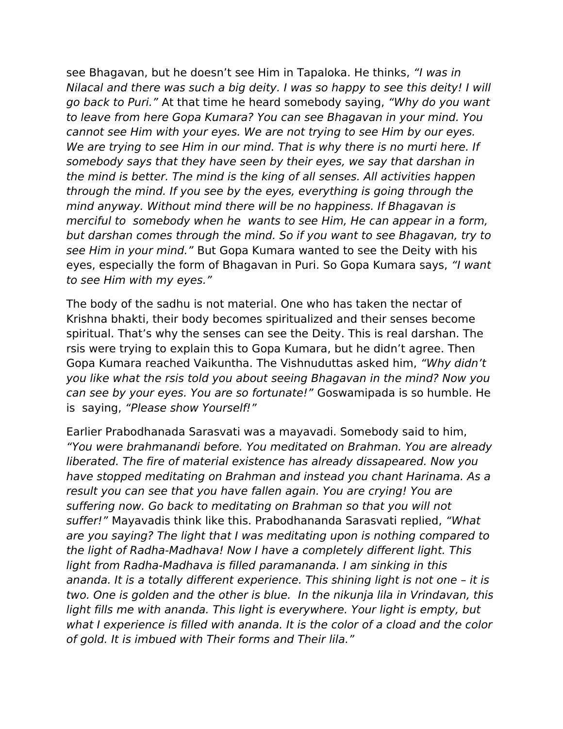see Bhagavan, but he doesn't see Him in Tapaloka. He thinks, "I was in Nilacal and there was such a big deity. I was so happy to see this deity! I will go back to Puri." At that time he heard somebody saying, "Why do you want to leave from here Gopa Kumara? You can see Bhagavan in your mind. You cannot see Him with your eyes. We are not trying to see Him by our eyes. We are trying to see Him in our mind. That is why there is no murti here. If somebody says that they have seen by their eyes, we say that darshan in the mind is better. The mind is the king of all senses. All activities happen through the mind. If you see by the eyes, everything is going through the mind anyway. Without mind there will be no happiness. If Bhagavan is merciful to somebody when he wants to see Him, He can appear in a form, but darshan comes through the mind. So if you want to see Bhagavan, try to see Him in your mind." But Gopa Kumara wanted to see the Deity with his eyes, especially the form of Bhagavan in Puri. So Gopa Kumara says, "I want to see Him with my eyes."

The body of the sadhu is not material. One who has taken the nectar of Krishna bhakti, their body becomes spiritualized and their senses become spiritual. That's why the senses can see the Deity. This is real darshan. The rsis were trying to explain this to Gopa Kumara, but he didn't agree. Then Gopa Kumara reached Vaikuntha. The Vishnuduttas asked him, "Why didn't you like what the rsis told you about seeing Bhagavan in the mind? Now you can see by your eyes. You are so fortunate!" Goswamipada is so humble. He is saying, "Please show Yourself!"

Earlier Prabodhanada Sarasvati was a mayavadi. Somebody said to him, "You were brahmanandi before. You meditated on Brahman. You are already liberated. The fire of material existence has already dissapeared. Now you have stopped meditating on Brahman and instead you chant Harinama. As a result you can see that you have fallen again. You are crying! You are suffering now. Go back to meditating on Brahman so that you will not suffer!" Mayavadis think like this. Prabodhananda Sarasvati replied, "What are you saying? The light that I was meditating upon is nothing compared to the light of Radha-Madhava! Now I have a completely different light. This light from Radha-Madhava is filled paramananda. I am sinking in this ananda. It is a totally different experience. This shining light is not one – it is two. One is golden and the other is blue. In the nikunja lila in Vrindavan, this light fills me with ananda. This light is everywhere. Your light is empty, but what I experience is filled with ananda. It is the color of a cload and the color of gold. It is imbued with Their forms and Their lila."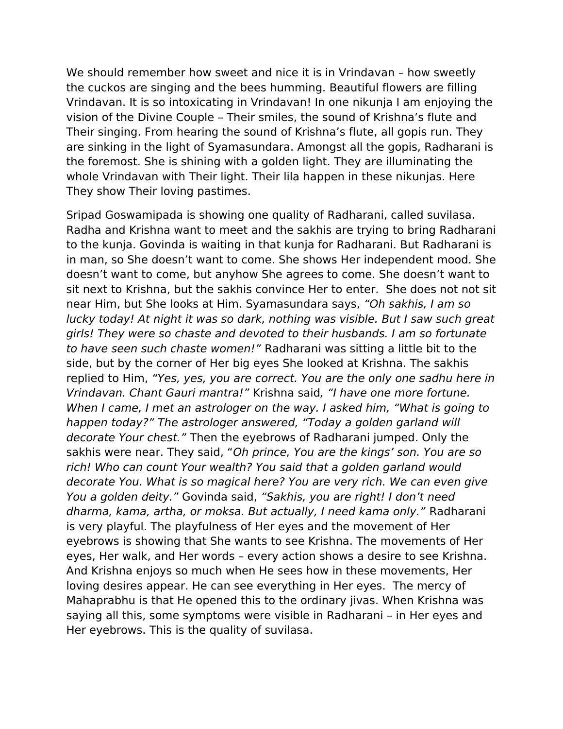We should remember how sweet and nice it is in Vrindavan – how sweetly the cuckos are singing and the bees humming. Beautiful flowers are filling Vrindavan. It is so intoxicating in Vrindavan! In one nikunja I am enjoying the vision of the Divine Couple – Their smiles, the sound of Krishna's flute and Their singing. From hearing the sound of Krishna's flute, all gopis run. They are sinking in the light of Syamasundara. Amongst all the gopis, Radharani is the foremost. She is shining with a golden light. They are illuminating the whole Vrindavan with Their light. Their lila happen in these nikunjas. Here They show Their loving pastimes.

Sripad Goswamipada is showing one quality of Radharani, called suvilasa. Radha and Krishna want to meet and the sakhis are trying to bring Radharani to the kunja. Govinda is waiting in that kunja for Radharani. But Radharani is in man, so She doesn't want to come. She shows Her independent mood. She doesn't want to come, but anyhow She agrees to come. She doesn't want to sit next to Krishna, but the sakhis convince Her to enter. She does not not sit near Him, but She looks at Him. Syamasundara says, "Oh sakhis, I am so lucky today! At night it was so dark, nothing was visible. But I saw such great girls! They were so chaste and devoted to their husbands. I am so fortunate to have seen such chaste women!" Radharani was sitting a little bit to the side, but by the corner of Her big eyes She looked at Krishna. The sakhis replied to Him, "Yes, yes, you are correct. You are the only one sadhu here in Vrindavan. Chant Gauri mantra!" Krishna said, "I have one more fortune. When I came, I met an astrologer on the way. I asked him, "What is going to happen today?" The astrologer answered, "Today a golden garland will decorate Your chest." Then the eyebrows of Radharani jumped. Only the sakhis were near. They said, "Oh prince, You are the kings' son. You are so rich! Who can count Your wealth? You said that a golden garland would decorate You. What is so magical here? You are very rich. We can even give You a golden deity." Govinda said, "Sakhis, you are right! I don't need dharma, kama, artha, or moksa. But actually, I need kama only." Radharani is very playful. The playfulness of Her eyes and the movement of Her eyebrows is showing that She wants to see Krishna. The movements of Her eyes, Her walk, and Her words – every action shows a desire to see Krishna. And Krishna enjoys so much when He sees how in these movements, Her loving desires appear. He can see everything in Her eyes. The mercy of Mahaprabhu is that He opened this to the ordinary jivas. When Krishna was saying all this, some symptoms were visible in Radharani – in Her eyes and Her eyebrows. This is the quality of suvilasa.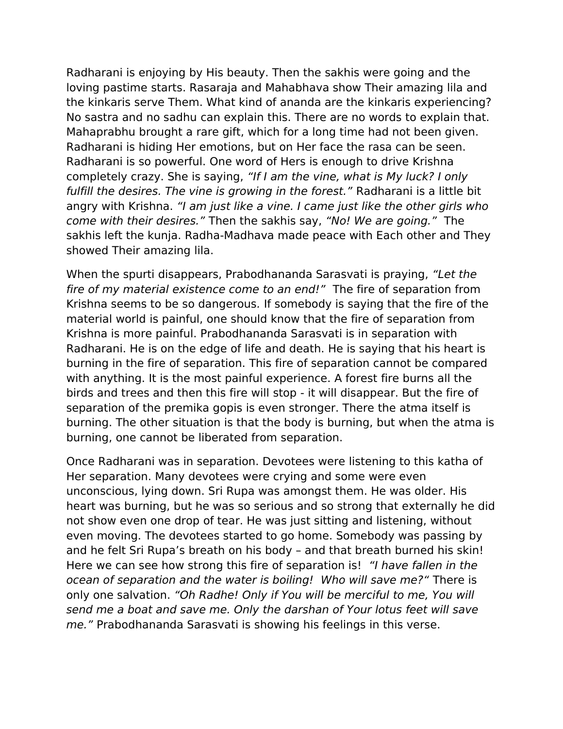Radharani is enjoying by His beauty. Then the sakhis were going and the loving pastime starts. Rasaraja and Mahabhava show Their amazing lila and the kinkaris serve Them. What kind of ananda are the kinkaris experiencing? No sastra and no sadhu can explain this. There are no words to explain that. Mahaprabhu brought a rare gift, which for a long time had not been given. Radharani is hiding Her emotions, but on Her face the rasa can be seen. Radharani is so powerful. One word of Hers is enough to drive Krishna completely crazy. She is saying, "If I am the vine, what is My luck? I only fulfill the desires. The vine is growing in the forest." Radharani is a little bit angry with Krishna. "I am just like a vine. I came just like the other girls who come with their desires." Then the sakhis say, "No! We are going." The sakhis left the kunja. Radha-Madhava made peace with Each other and They showed Their amazing lila.

When the spurti disappears, Prabodhananda Sarasvati is praying, "Let the fire of my material existence come to an end!" The fire of separation from Krishna seems to be so dangerous. If somebody is saying that the fire of the material world is painful, one should know that the fire of separation from Krishna is more painful. Prabodhananda Sarasvati is in separation with Radharani. He is on the edge of life and death. He is saying that his heart is burning in the fire of separation. This fire of separation cannot be compared with anything. It is the most painful experience. A forest fire burns all the birds and trees and then this fire will stop - it will disappear. But the fire of separation of the premika gopis is even stronger. There the atma itself is burning. The other situation is that the body is burning, but when the atma is burning, one cannot be liberated from separation.

Once Radharani was in separation. Devotees were listening to this katha of Her separation. Many devotees were crying and some were even unconscious, lying down. Sri Rupa was amongst them. He was older. His heart was burning, but he was so serious and so strong that externally he did not show even one drop of tear. He was just sitting and listening, without even moving. The devotees started to go home. Somebody was passing by and he felt Sri Rupa's breath on his body – and that breath burned his skin! Here we can see how strong this fire of separation is! "I have fallen in the ocean of separation and the water is boiling! Who will save me?" There is only one salvation. "Oh Radhe! Only if You will be merciful to me, You will send me a boat and save me. Only the darshan of Your lotus feet will save me." Prabodhananda Sarasvati is showing his feelings in this verse.